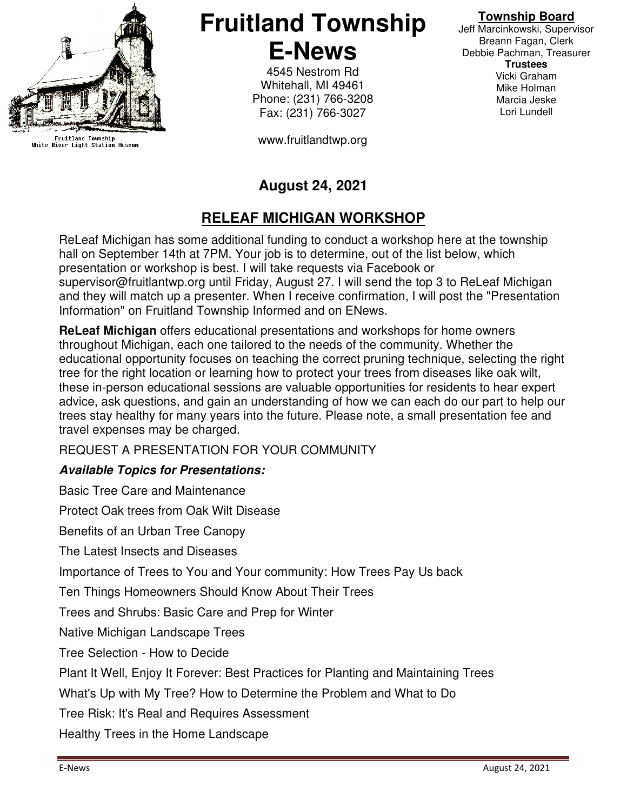

Fruitland Township<br>White River Light Station Museum

**Fruitland Township E-News** 

> 4545 Nestrom Rd Whitehall, MI 49461 Phone: (231) 766-3208 Fax: (231) 766-3027

www.fruitlandtwp.org

#### **Township Board**

Jeff Marcinkowski, Supervisor Breann Fagan, Clerk Debbie Pachman, Treasurer **Trustees**  Vicki Graham Mike Holman Marcia Jeske Lori Lundell

## **August 24, 2021**

# **RELEAF MICHIGAN WORKSHOP**

ReLeaf Michigan has some additional funding to conduct a workshop here at the township hall on September 14th at 7PM. Your job is to determine, out of the list below, which presentation or workshop is best. I will take requests via Facebook or supervisor@fruitlantwp.org until Friday, August 27. I will send the top 3 to ReLeaf Michigan and they will match up a presenter. When I receive confirmation, I will post the "Presentation Information" on Fruitland Township Informed and on ENews.

**ReLeaf Michigan** offers educational presentations and workshops for home owners throughout Michigan, each one tailored to the needs of the community. Whether the educational opportunity focuses on teaching the correct pruning technique, selecting the right tree for the right location or learning how to protect your trees from diseases like oak wilt, these in-person educational sessions are valuable opportunities for residents to hear expert advice, ask questions, and gain an understanding of how we can each do our part to help our trees stay healthy for many years into the future. Please note, a small presentation fee and travel expenses may be charged.

REQUEST A PRESENTATION FOR YOUR COMMUNITY

### **Available Topics for Presentations:**

Basic Tree Care and Maintenance

Protect Oak trees from Oak Wilt Disease

Benefits of an Urban Tree Canopy

The Latest Insects and Diseases

Importance of Trees to You and Your community: How Trees Pay Us back

Ten Things Homeowners Should Know About Their Trees

Trees and Shrubs: Basic Care and Prep for Winter

Native Michigan Landscape Trees

Tree Selection - How to Decide

Plant It Well, Enjoy It Forever: Best Practices for Planting and Maintaining Trees

What's Up with My Tree? How to Determine the Problem and What to Do

Tree Risk: It's Real and Requires Assessment

Healthy Trees in the Home Landscape